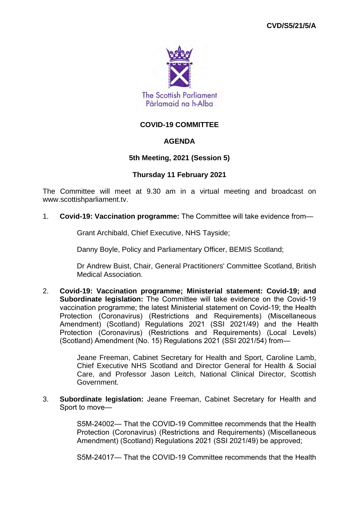

# **COVID-19 COMMITTEE**

# **AGENDA**

# **5th Meeting, 2021 (Session 5)**

## **Thursday 11 February 2021**

The Committee will meet at 9.30 am in a virtual meeting and broadcast on www.scottishparliament.tv.

1. **Covid-19: Vaccination programme:** The Committee will take evidence from—

Grant Archibald, Chief Executive, NHS Tayside;

Danny Boyle, Policy and Parliamentary Officer, BEMIS Scotland;

Dr Andrew Buist, Chair, General Practitioners' Committee Scotland, British Medical Association.

2. **Covid-19: Vaccination programme; Ministerial statement: Covid-19; and Subordinate legislation:** The Committee will take evidence on the Covid-19 vaccination programme; the latest Ministerial statement on Covid-19; the Health Protection (Coronavirus) (Restrictions and Requirements) (Miscellaneous Amendment) (Scotland) Regulations 2021 (SSI 2021/49) and the Health Protection (Coronavirus) (Restrictions and Requirements) (Local Levels) (Scotland) Amendment (No. 15) Regulations 2021 (SSI 2021/54) from—

> Jeane Freeman, Cabinet Secretary for Health and Sport, Caroline Lamb, Chief Executive NHS Scotland and Director General for Health & Social Care, and Professor Jason Leitch, National Clinical Director, Scottish Government.

3. **Subordinate legislation:** Jeane Freeman, Cabinet Secretary for Health and Sport to move—

> S5M-24002— That the COVID-19 Committee recommends that the Health Protection (Coronavirus) (Restrictions and Requirements) (Miscellaneous Amendment) (Scotland) Regulations 2021 (SSI 2021/49) be approved;

> S5M-24017— That the COVID-19 Committee recommends that the Health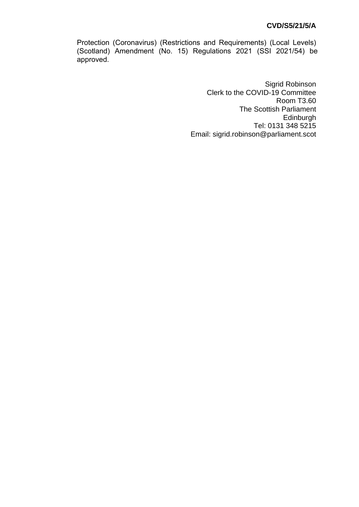Protection (Coronavirus) (Restrictions and Requirements) (Local Levels) (Scotland) Amendment (No. 15) Regulations 2021 (SSI 2021/54) be approved.

> Sigrid Robinson Clerk to the COVID-19 Committee Room T3.60 The Scottish Parliament Edinburgh Tel: 0131 348 5215 Email: sigrid.robinson@parliament.scot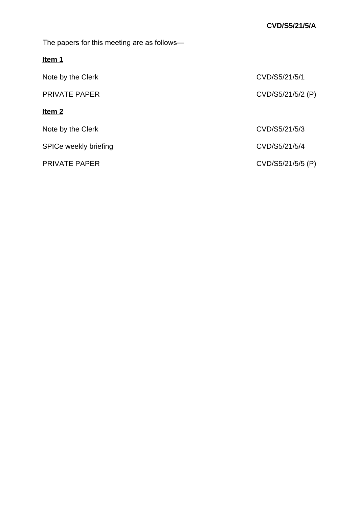The papers for this meeting are as follows—

| н<br>I |  |
|--------|--|
|        |  |

| CVD/S5/21/5/1     |
|-------------------|
| CVD/S5/21/5/2 (P) |
|                   |
| CVD/S5/21/5/3     |
| CVD/S5/21/5/4     |
| CVD/S5/21/5/5 (P) |
|                   |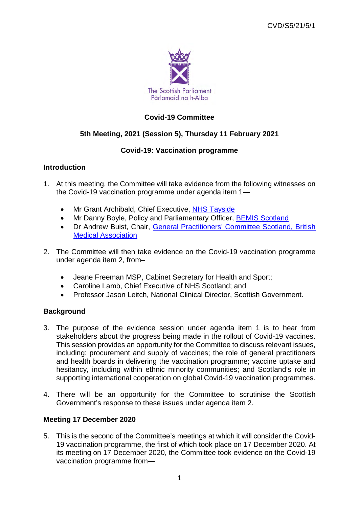

# **Covid-19 Committee**

# **5th Meeting, 2021 (Session 5), Thursday 11 February 2021**

# **Covid-19: Vaccination programme**

# **Introduction**

- 1. At this meeting, the Committee will take evidence from the following witnesses on the Covid-19 vaccination programme under agenda item 1―
	- Mr Grant Archibald, Chief Executive, NHS Tayside
	- Mr Danny Boyle, Policy and Parliamentary Officer, **BEMIS Scotland**
	- Dr Andrew Buist, Chair, General Practitioners' Committee Scotland, British Medical Association
- 2. The Committee will then take evidence on the Covid-19 vaccination programme under agenda item 2, from–
	- Jeane Freeman MSP, Cabinet Secretary for Health and Sport;
	- Caroline Lamb, Chief Executive of NHS Scotland; and
	- Professor Jason Leitch, National Clinical Director, Scottish Government.

# **Background**

- 3. The purpose of the evidence session under agenda item 1 is to hear from stakeholders about the progress being made in the rollout of Covid-19 vaccines. This session provides an opportunity for the Committee to discuss relevant issues, including: procurement and supply of vaccines; the role of general practitioners and health boards in delivering the vaccination programme; vaccine uptake and hesitancy, including within ethnic minority communities; and Scotland's role in supporting international cooperation on global Covid-19 vaccination programmes.
- 4. There will be an opportunity for the Committee to scrutinise the Scottish Government's response to these issues under agenda item 2.

# **Meeting 17 December 2020**

5. This is the second of the Committee's meetings at which it will consider the Covid-19 vaccination programme, the first of which took place on 17 December 2020. At its meeting on 17 December 2020, the Committee took evidence on the Covid-19 vaccination programme from―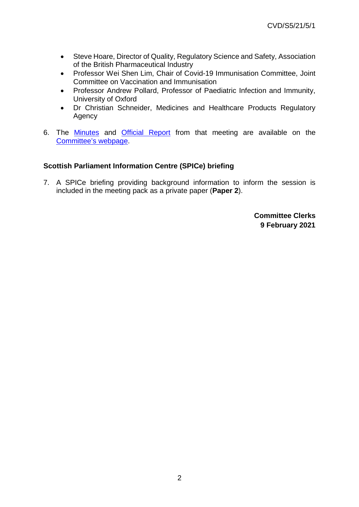- Steve Hoare, Director of Quality, Regulatory Science and Safety, Association of the British Pharmaceutical Industry
- Professor Wei Shen Lim, Chair of Covid-19 Immunisation Committee, Joint Committee on Vaccination and Immunisation
- Professor Andrew Pollard, Professor of Paediatric Infection and Immunity, University of Oxford
- Dr Christian Schneider, Medicines and Healthcare Products Regulatory Agency
- 6. The Minutes and Official Report from that meeting are available on the Committee's webpage.

# **Scottish Parliament Information Centre (SPICe) briefing**

7. A SPICe briefing providing background information to inform the session is included in the meeting pack as a private paper (**Paper 2**).

> **Committee Clerks 9 February 2021**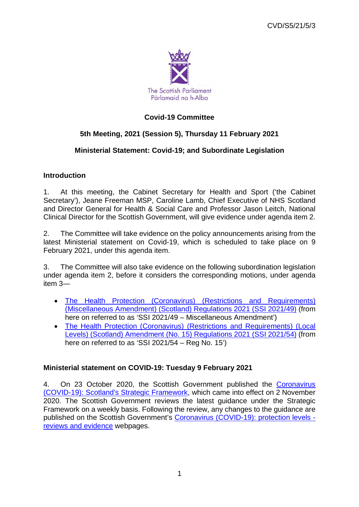

# **Covid-19 Committee**

# **5th Meeting, 2021 (Session 5), Thursday 11 February 2021**

# **Ministerial Statement: Covid-19; and Subordinate Legislation**

# **Introduction**

1. At this meeting, the Cabinet Secretary for Health and Sport ('the Cabinet Secretary'), Jeane Freeman MSP, Caroline Lamb, Chief Executive of NHS Scotland and Director General for Health & Social Care and Professor Jason Leitch, National Clinical Director for the Scottish Government, will give evidence under agenda item 2.

2. The Committee will take evidence on the policy announcements arising from the latest Ministerial statement on Covid-19, which is scheduled to take place on 9 February 2021, under this agenda item.

3. The Committee will also take evidence on the following subordination legislation under agenda item 2, before it considers the corresponding motions, under agenda item 3―

- The Health Protection (Coronavirus) (Restrictions and Requirements) (Miscellaneous Amendment) (Scotland) Regulations 2021 (SSI 2021/49) (from here on referred to as 'SSI 2021/49 – Miscellaneous Amendment')
- The Health Protection (Coronavirus) (Restrictions and Requirements) (Local Levels) (Scotland) Amendment (No. 15) Regulations 2021 (SSI 2021/54) (from here on referred to as 'SSI 2021/54 – Reg No. 15')

# **Ministerial statement on COVID-19: Tuesday 9 February 2021**

4. On 23 October 2020, the Scottish Government published the Coronavirus (COVID-19): Scotland's Strategic Framework, which came into effect on 2 November 2020. The Scottish Government reviews the latest guidance under the Strategic Framework on a weekly basis. Following the review, any changes to the guidance are published on the Scottish Government's Coronavirus (COVID-19): protection levels reviews and evidence webpages.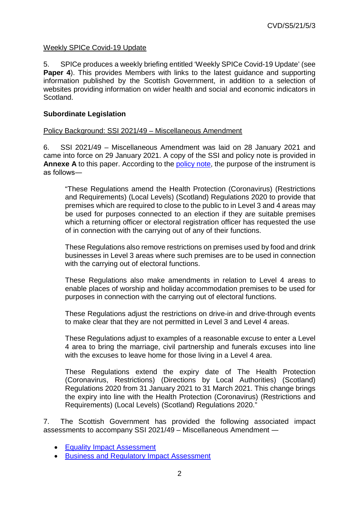# Weekly SPICe Covid-19 Update

5. SPICe produces a weekly briefing entitled 'Weekly SPICe Covid-19 Update' (see **Paper 4**). This provides Members with links to the latest quidance and supporting information published by the Scottish Government, in addition to a selection of websites providing information on wider health and social and economic indicators in Scotland.

# **Subordinate Legislation**

## Policy Background: SSI 2021/49 – Miscellaneous Amendment

6. SSI 2021/49 – Miscellaneous Amendment was laid on 28 January 2021 and came into force on 29 January 2021. A copy of the SSI and policy note is provided in **Annexe A** to this paper. According to the policy note, the purpose of the instrument is as follows―

"These Regulations amend the Health Protection (Coronavirus) (Restrictions and Requirements) (Local Levels) (Scotland) Regulations 2020 to provide that premises which are required to close to the public to in Level 3 and 4 areas may be used for purposes connected to an election if they are suitable premises which a returning officer or electoral registration officer has requested the use of in connection with the carrying out of any of their functions.

These Regulations also remove restrictions on premises used by food and drink businesses in Level 3 areas where such premises are to be used in connection with the carrying out of electoral functions.

These Regulations also make amendments in relation to Level 4 areas to enable places of worship and holiday accommodation premises to be used for purposes in connection with the carrying out of electoral functions.

These Regulations adjust the restrictions on drive-in and drive-through events to make clear that they are not permitted in Level 3 and Level 4 areas.

These Regulations adjust to examples of a reasonable excuse to enter a Level 4 area to bring the marriage, civil partnership and funerals excuses into line with the excuses to leave home for those living in a Level 4 area.

These Regulations extend the expiry date of The Health Protection (Coronavirus, Restrictions) (Directions by Local Authorities) (Scotland) Regulations 2020 from 31 January 2021 to 31 March 2021. This change brings the expiry into line with the Health Protection (Coronavirus) (Restrictions and Requirements) (Local Levels) (Scotland) Regulations 2020."

7. The Scottish Government has provided the following associated impact assessments to accompany SSI 2021/49 – Miscellaneous Amendment ―

- Equality Impact Assessment
- Business and Regulatory Impact Assessment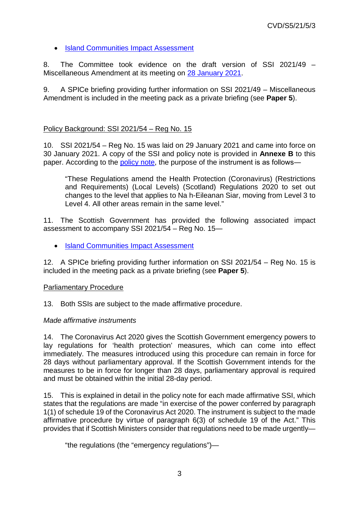# • Island Communities Impact Assessment

8. The Committee took evidence on the draft version of SSI 2021/49 – Miscellaneous Amendment at its meeting on 28 January 2021.

9. A SPICe briefing providing further information on SSI 2021/49 – Miscellaneous Amendment is included in the meeting pack as a private briefing (see **Paper 5**).

# Policy Background: SSI 2021/54 – Reg No. 15

10. SSI 2021/54 – Reg No. 15 was laid on 29 January 2021 and came into force on 30 January 2021. A copy of the SSI and policy note is provided in **Annexe B** to this paper. According to the policy note, the purpose of the instrument is as follows―

"These Regulations amend the Health Protection (Coronavirus) (Restrictions and Requirements) (Local Levels) (Scotland) Regulations 2020 to set out changes to the level that applies to Na h-Eileanan Siar, moving from Level 3 to Level 4. All other areas remain in the same level."

11. The Scottish Government has provided the following associated impact assessment to accompany SSI 2021/54 – Reg No. 15―

• Island Communities Impact Assessment

12. A SPICe briefing providing further information on SSI 2021/54 – Reg No. 15 is included in the meeting pack as a private briefing (see **Paper 5**).

## Parliamentary Procedure

13. Both SSIs are subject to the made affirmative procedure.

## *Made affirmative instruments*

14. The Coronavirus Act 2020 gives the Scottish Government emergency powers to lay regulations for 'health protection' measures, which can come into effect immediately. The measures introduced using this procedure can remain in force for 28 days without parliamentary approval. If the Scottish Government intends for the measures to be in force for longer than 28 days, parliamentary approval is required and must be obtained within the initial 28-day period.

15. This is explained in detail in the policy note for each made affirmative SSI, which states that the regulations are made "in exercise of the power conferred by paragraph 1(1) of schedule 19 of the Coronavirus Act 2020. The instrument is subject to the made affirmative procedure by virtue of paragraph 6(3) of schedule 19 of the Act." This provides that if Scottish Ministers consider that regulations need to be made urgently—

"the regulations (the "emergency regulations")—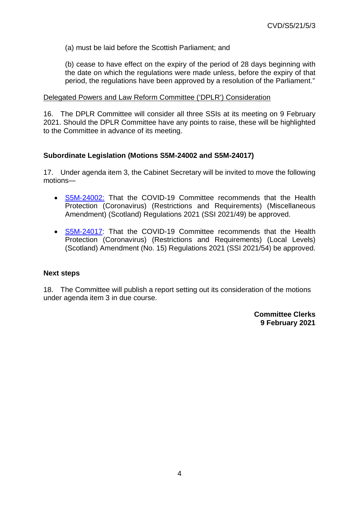(a) must be laid before the Scottish Parliament; and

(b) cease to have effect on the expiry of the period of 28 days beginning with the date on which the regulations were made unless, before the expiry of that period, the regulations have been approved by a resolution of the Parliament."

#### Delegated Powers and Law Reform Committee ('DPLR') Consideration

16. The DPLR Committee will consider all three SSIs at its meeting on 9 February 2021. Should the DPLR Committee have any points to raise, these will be highlighted to the Committee in advance of its meeting.

## **Subordinate Legislation (Motions S5M-24002 and S5M-24017)**

17. Under agenda item 3, the Cabinet Secretary will be invited to move the following motions―

- S5M-24002: That the COVID-19 Committee recommends that the Health Protection (Coronavirus) (Restrictions and Requirements) (Miscellaneous Amendment) (Scotland) Regulations 2021 (SSI 2021/49) be approved.
- S5M-24017: That the COVID-19 Committee recommends that the Health Protection (Coronavirus) (Restrictions and Requirements) (Local Levels) (Scotland) Amendment (No. 15) Regulations 2021 (SSI 2021/54) be approved.

#### **Next steps**

18. The Committee will publish a report setting out its consideration of the motions under agenda item 3 in due course.

> **Committee Clerks 9 February 2021**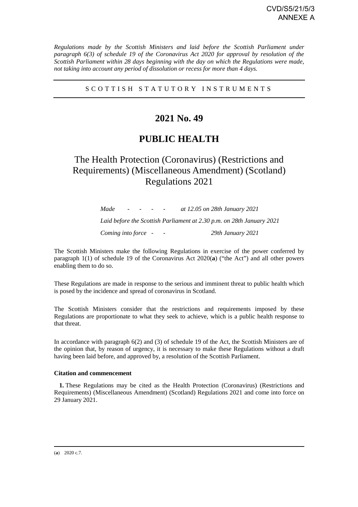*Regulations made by the Scottish Ministers and laid before the Scottish Parliament under paragraph 6(3) of schedule 19 of the Coronavirus Act 2020 for approval by resolution of the Scottish Parliament within 28 days beginning with the day on which the Regulations were made, not taking into account any period of dissolution or recess for more than 4 days.* 

#### S C O T T I S H S T A T U T O R Y I N S T R U M E N T S

# **2021 No. 49**

# **PUBLIC HEALTH**

# The Health Protection (Coronavirus) (Restrictions and Requirements) (Miscellaneous Amendment) (Scotland) Regulations 2021

*Made - - - - at 12.05 on 28th January 2021 Laid before the Scottish Parliament at 2.30 p.m. on 28th January 2021 Coming into force - - 29th January 2021* 

The Scottish Ministers make the following Regulations in exercise of the power conferred by paragraph 1(1) of schedule 19 of the Coronavirus Act 2020(**a**) ("the Act") and all other powers enabling them to do so.

These Regulations are made in response to the serious and imminent threat to public health which is posed by the incidence and spread of coronavirus in Scotland.

The Scottish Ministers consider that the restrictions and requirements imposed by these Regulations are proportionate to what they seek to achieve, which is a public health response to that threat.

In accordance with paragraph 6(2) and (3) of schedule 19 of the Act, the Scottish Ministers are of the opinion that, by reason of urgency, it is necessary to make these Regulations without a draft having been laid before, and approved by, a resolution of the Scottish Parliament.

#### **Citation and commencement**

**1.** These Regulations may be cited as the Health Protection (Coronavirus) (Restrictions and Requirements) (Miscellaneous Amendment) (Scotland) Regulations 2021 and come into force on 29 January 2021.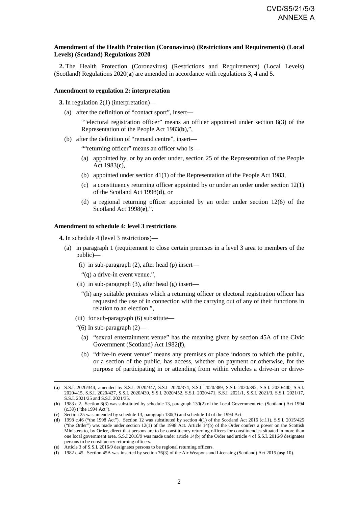#### **Amendment of the Health Protection (Coronavirus) (Restrictions and Requirements) (Local Levels) (Scotland) Regulations 2020**

**2.** The Health Protection (Coronavirus) (Restrictions and Requirements) (Local Levels) (Scotland) Regulations 2020(**a**) are amended in accordance with regulations 3, 4 and 5.

#### **Amendment to regulation 2: interpretation**

**3.** In regulation 2(1) (interpretation)—

(a) after the definition of "contact sport", insert—

""electoral registration officer" means an officer appointed under section 8(3) of the Representation of the People Act 1983(**b**),",

(b) after the definition of "remand centre", insert—

""returning officer" means an officer who is—

- (a) appointed by, or by an order under, section 25 of the Representation of the People Act 1983(**c**),
- (b) appointed under section 41(1) of the Representation of the People Act 1983,
- (c) a constituency returning officer appointed by or under an order under section 12(1) of the Scotland Act 1998(**d**), or
- (d) a regional returning officer appointed by an order under section 12(6) of the Scotland Act 1998(**e**),".

#### **Amendment to schedule 4: level 3 restrictions**

**4.** In schedule 4 (level 3 restrictions)—

- (a) in paragraph 1 (requirement to close certain premises in a level 3 area to members of the public)—
	- (i) in sub-paragraph (2), after head (p) insert—
	- "(q) a drive-in event venue.",
	- (ii) in sub-paragraph  $(3)$ , after head  $(g)$  insert—
		- "(h) any suitable premises which a returning officer or electoral registration officer has requested the use of in connection with the carrying out of any of their functions in relation to an election.",
	- (iii) for sub-paragraph (6) substitute—
	- "(6) In sub-paragraph (2)—
		- (a) "sexual entertainment venue" has the meaning given by section 45A of the Civic Government (Scotland) Act 1982(**f**),
		- (b) "drive-in event venue" means any premises or place indoors to which the public, or a section of the public, has access, whether on payment or otherwise, for the purpose of participating in or attending from within vehicles a drive-in or drive-

<sup>(</sup>**a**) S.S.I. 2020/344, amended by S.S.I. 2020/347, S.S.I. 2020/374, S.S.I. 2020/389, S.S.I. 2020/392, S.S.I. 2020/400, S.S.I. 2020/415, S.S.I. 2020/427, S.S.I. 2020/439, S.S.I. 2020/452, S.S.I. 2020/471, S.S.I. 2021/1, S.S.I. 2021/3, S.S.I. 2021/17, S.S.I. 2021/25 and S.S.I. 2021/35.

<sup>(</sup>**b**) 1983 c.2. Section 8(3) was substituted by schedule 13, paragraph 130(2) of the Local Government etc. (Scotland) Act 1994 (c.39) ("the 1994 Act").

<sup>(</sup>**c**) Section 25 was amended by schedule 13, paragraph 130(3) and schedule 14 of the 1994 Act.

<sup>(</sup>**d**) 1998 c.46 ("the 1998 Act"). Section 12 was substituted by section 4(1) of the Scotland Act 2016 (c.11). S.S.I. 2015/425 ("the Order") was made under section 12(1) of the 1998 Act. Article 14(b) of the Order confers a power on the Scottish Ministers to, by Order, direct that persons are to be constituency returning officers for constituencies situated in more than one local government area. S.S.I 2016/9 was made under article 14(b) of the Order and article 4 of S.S.I. 2016/9 designates persons to be constituency returning officers.

<sup>(</sup>**e**) Article 3 of S.S.I. 2016/9 designates persons to be regional returning officers.

<sup>(</sup>**f**) 1982 c.45. Section 45A was inserted by section 76(3) of the Air Weapons and Licensing (Scotland) Act 2015 (asp 10).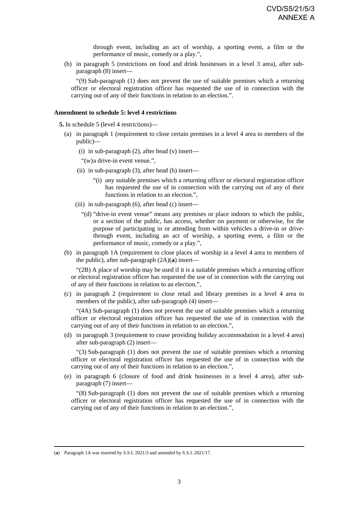through event, including an act of worship, a sporting event, a film or the performance of music, comedy or a play.",

(b) in paragraph 5 (restrictions on food and drink businesses in a level 3 area), after subparagraph (8) insert—

"(9) Sub-paragraph (1) does not prevent the use of suitable premises which a returning officer or electoral registration officer has requested the use of in connection with the carrying out of any of their functions in relation to an election.".

#### **Amendment to schedule 5: level 4 restrictions**

**5.** In schedule 5 (level 4 restrictions)—

- (a) in paragraph 1 (requirement to close certain premises in a level 4 area to members of the public)—
	- (i) in sub-paragraph  $(2)$ , after head  $(v)$  insert—

"(w) a drive-in event venue.",

- (ii) in sub-paragraph  $(3)$ , after head  $(h)$  insert—
	- "(i) any suitable premises which a returning officer or electoral registration officer has requested the use of in connection with the carrying out of any of their functions in relation to an election.",
- (iii) in sub-paragraph  $(6)$ , after head  $(c)$  insert—
	- "(d) "drive-in event venue" means any premises or place indoors to which the public, or a section of the public, has access, whether on payment or otherwise, for the purpose of participating in or attending from within vehicles a drive-in or drivethrough event, including an act of worship, a sporting event, a film or the performance of music, comedy or a play.",
- (b) in paragraph 1A (requirement to close places of worship in a level 4 area to members of the public), after sub-paragraph (2A)(**a**) insert—

"(2B) A place of worship may be used if it is a suitable premises which a returning officer or electoral registration officer has requested the use of in connection with the carrying out of any of their functions in relation to an election.",

(c) in paragraph 2 (requirement to close retail and library premises in a level 4 area to members of the public), after sub-paragraph (4) insert—

"(4A) Sub-paragraph (1) does not prevent the use of suitable premises which a returning officer or electoral registration officer has requested the use of in connection with the carrying out of any of their functions in relation to an election.",

(d) in paragraph 3 (requirement to cease providing holiday accommodation in a level 4 area) after sub-paragraph (2) insert—

"(3) Sub-paragraph (1) does not prevent the use of suitable premises which a returning officer or electoral registration officer has requested the use of in connection with the carrying out of any of their functions in relation to an election.",

(e) in paragraph 6 (closure of food and drink businesses in a level 4 area), after subparagraph (7) insert—

"(8) Sub-paragraph (1) does not prevent the use of suitable premises which a returning officer or electoral registration officer has requested the use of in connection with the carrying out of any of their functions in relation to an election.",

<sup>(</sup>**a**) Paragraph 1A was inserted by S.S.I. 2021/3 and amended by S.S.I. 2021/17.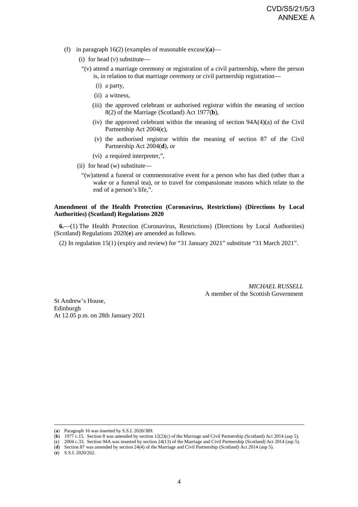- (f) in paragraph 16(2) (examples of reasonable excuse)(**a**)—
	- (i) for head (v) substitute—
	- "(v) attend a marriage ceremony or registration of a civil partnership, where the person is, in relation to that marriage ceremony or civil partnership registration—
		- (i) a party,
		- (ii) a witness,
		- (iii) the approved celebrant or authorised registrar within the meaning of section 8(2) of the Marriage (Scotland) Act 1977(**b**),
		- (iv) the approved celebrant within the meaning of section  $94A(4)(a)$  of the Civil Partnership Act 2004(**c**),
		- (v) the authorised registrar within the meaning of section 87 of the Civil Partnership Act 2004(**d**), or
		- (vi) a required interpreter,",
	- (ii) for head (w) substitute—
		- "(w) attend a funeral or commemorative event for a person who has died (other than a wake or a funeral tea), or to travel for compassionate reasons which relate to the end of a person's life,".

#### **Amendment of the Health Protection (Coronavirus, Restrictions) (Directions by Local Authorities) (Scotland) Regulations 2020**

**6.**—(1) The Health Protection (Coronavirus, Restrictions) (Directions by Local Authorities) (Scotland) Regulations 2020(**e**) are amended as follows.

(2) In regulation 15(1) (expiry and review) for "31 January 2021" substitute "31 March 2021".

*MICHAEL RUSSELL* A member of the Scottish Government

St Andrew's House, Edinburgh At 12.05 p.m. on 28th January 2021

-

<sup>(</sup>**a**) Paragraph 16 was inserted by S.S.I. 2020/389.

<sup>(</sup>**b**) 1977 c.15. Section 8 was amended by section 12(2)(c) of the Marriage and Civil Partnership (Scotland) Act 2014 (asp 5).

<sup>(</sup>**c**) 2004 c.33. Section 94A was inserted by section 24(13) of the Marriage and Civil Partnership (Scotland) Act 2014 (asp 5).

<sup>(</sup>**d**) Section 87 was amended by section 24(4) of the Marriage and Civil Partnership (Scotland) Act 2014 (asp 5).

<sup>(</sup>**e**) S.S.I. 2020/262.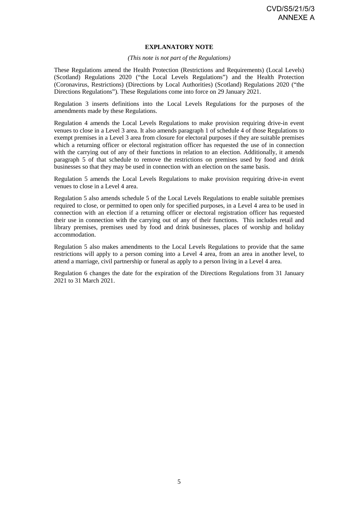#### **EXPLANATORY NOTE**

#### *(This note is not part of the Regulations)*

These Regulations amend the Health Protection (Restrictions and Requirements) (Local Levels) (Scotland) Regulations 2020 ("the Local Levels Regulations") and the Health Protection (Coronavirus, Restrictions) (Directions by Local Authorities) (Scotland) Regulations 2020 ("the Directions Regulations"). These Regulations come into force on 29 January 2021.

Regulation 3 inserts definitions into the Local Levels Regulations for the purposes of the amendments made by these Regulations.

Regulation 4 amends the Local Levels Regulations to make provision requiring drive-in event venues to close in a Level 3 area. It also amends paragraph 1 of schedule 4 of those Regulations to exempt premises in a Level 3 area from closure for electoral purposes if they are suitable premises which a returning officer or electoral registration officer has requested the use of in connection with the carrying out of any of their functions in relation to an election. Additionally, it amends paragraph 5 of that schedule to remove the restrictions on premises used by food and drink businesses so that they may be used in connection with an election on the same basis.

Regulation 5 amends the Local Levels Regulations to make provision requiring drive-in event venues to close in a Level 4 area.

Regulation 5 also amends schedule 5 of the Local Levels Regulations to enable suitable premises required to close, or permitted to open only for specified purposes, in a Level 4 area to be used in connection with an election if a returning officer or electoral registration officer has requested their use in connection with the carrying out of any of their functions. This includes retail and library premises, premises used by food and drink businesses, places of worship and holiday accommodation.

Regulation 5 also makes amendments to the Local Levels Regulations to provide that the same restrictions will apply to a person coming into a Level 4 area, from an area in another level, to attend a marriage, civil partnership or funeral as apply to a person living in a Level 4 area.

Regulation 6 changes the date for the expiration of the Directions Regulations from 31 January 2021 to 31 March 2021.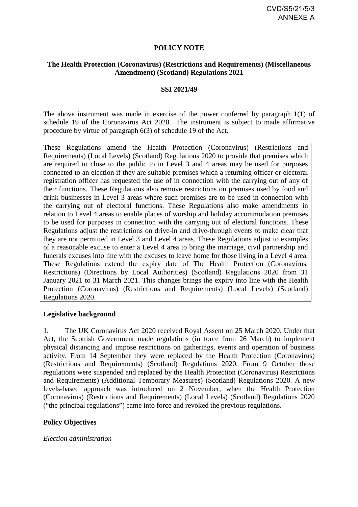#### **POLICY NOTE**

#### **The Health Protection (Coronavirus) (Restrictions and Requirements) (Miscellaneous Amendment) (Scotland) Regulations 2021**

#### **SSI 2021/49**

The above instrument was made in exercise of the power conferred by paragraph 1(1) of schedule 19 of the Coronavirus Act 2020. The instrument is subject to made affirmative procedure by virtue of paragraph 6(3) of schedule 19 of the Act.

These Regulations amend the Health Protection (Coronavirus) (Restrictions and Requirements) (Local Levels) (Scotland) Regulations 2020 to provide that premises which are required to close to the public to in Level 3 and 4 areas may be used for purposes connected to an election if they are suitable premises which a returning officer or electoral registration officer has requested the use of in connection with the carrying out of any of their functions. These Regulations also remove restrictions on premises used by food and drink businesses in Level 3 areas where such premises are to be used in connection with the carrying out of electoral functions. These Regulations also make amendments in relation to Level 4 areas to enable places of worship and holiday accommodation premises to be used for purposes in connection with the carrying out of electoral functions. These Regulations adjust the restrictions on drive-in and drive-through events to make clear that they are not permitted in Level 3 and Level 4 areas. These Regulations adjust to examples of a reasonable excuse to enter a Level 4 area to bring the marriage, civil partnership and funerals excuses into line with the excuses to leave home for those living in a Level 4 area. These Regulations extend the expiry date of The Health Protection (Coronavirus, Restrictions) (Directions by Local Authorities) (Scotland) Regulations 2020 from 31 January 2021 to 31 March 2021. This changes brings the expiry into line with the Health Protection (Coronavirus) (Restrictions and Requirements) (Local Levels) (Scotland) Regulations 2020.

#### **Legislative background**

1. The UK Coronavirus Act 2020 received Royal Assent on 25 March 2020. Under that Act, the Scottish Government made regulations (in force from 26 March) to implement physical distancing and impose restrictions on gatherings, events and operation of business activity. From 14 September they were replaced by the Health Protection (Coronavirus) (Restrictions and Requirements) (Scotland) Regulations 2020. From 9 October those regulations were suspended and replaced by the Health Protection (Coronavirus) Restrictions and Requirements) (Additional Temporary Measures) (Scotland) Regulations 2020. A new levels-based approach was introduced on 2 November, when the Health Protection (Coronavirus) (Restrictions and Requirements) (Local Levels) (Scotland) Regulations 2020 ("the principal regulations") came into force and revoked the previous regulations.

## **Policy Objectives**

*Election administration*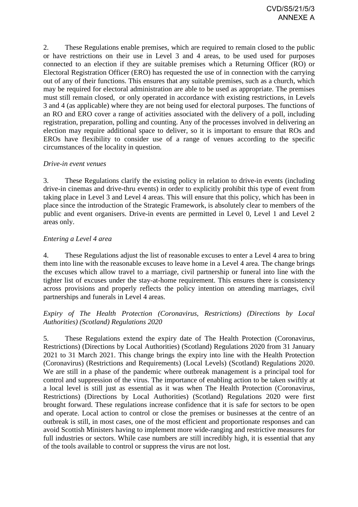2. These Regulations enable premises, which are required to remain closed to the public or have restrictions on their use in Level 3 and 4 areas, to be used used for purposes connected to an election if they are suitable premises which a Returning Officer (RO) or Electoral Registration Officer (ERO) has requested the use of in connection with the carrying out of any of their functions. This ensures that any suitable premises, such as a church, which may be required for electoral administration are able to be used as appropriate. The premises must still remain closed, or only operated in accordance with existing restrictions, in Levels 3 and 4 (as applicable) where they are not being used for electoral purposes. The functions of an RO and ERO cover a range of activities associated with the delivery of a poll, including registration, preparation, polling and counting. Any of the processes involved in delivering an election may require additional space to deliver, so it is important to ensure that ROs and EROs have flexibility to consider use of a range of venues according to the specific circumstances of the locality in question.

## *Drive-in event venues*

3. These Regulations clarify the existing policy in relation to drive-in events (including drive-in cinemas and drive-thru events) in order to explicitly prohibit this type of event from taking place in Level 3 and Level 4 areas. This will ensure that this policy, which has been in place since the introduction of the Strategic Framework, is absolutely clear to members of the public and event organisers. Drive-in events are permitted in Level 0, Level 1 and Level 2 areas only.

## *Entering a Level 4 area*

4. These Regulations adjust the list of reasonable excuses to enter a Level 4 area to bring them into line with the reasonable excuses to leave home in a Level 4 area. The change brings the excuses which allow travel to a marriage, civil partnership or funeral into line with the tighter list of excuses under the stay-at-home requirement. This ensures there is consistency across provisions and properly reflects the policy intention on attending marriages, civil partnerships and funerals in Level 4 areas.

## *Expiry of The Health Protection (Coronavirus, Restrictions) (Directions by Local Authorities) (Scotland) Regulations 2020*

5. These Regulations extend the expiry date of The Health Protection (Coronavirus, Restrictions) (Directions by Local Authorities) (Scotland) Regulations 2020 from 31 January 2021 to 31 March 2021. This change brings the expiry into line with the Health Protection (Coronavirus) (Restrictions and Requirements) (Local Levels) (Scotland) Regulations 2020. We are still in a phase of the pandemic where outbreak management is a principal tool for control and suppression of the virus. The importance of enabling action to be taken swiftly at a local level is still just as essential as it was when The Health Protection (Coronavirus, Restrictions) (Directions by Local Authorities) (Scotland) Regulations 2020 were first brought forward. These regulations increase confidence that it is safe for sectors to be open and operate. Local action to control or close the premises or businesses at the centre of an outbreak is still, in most cases, one of the most efficient and proportionate responses and can avoid Scottish Ministers having to implement more wide-ranging and restrictive measures for full industries or sectors. While case numbers are still incredibly high, it is essential that any of the tools available to control or suppress the virus are not lost.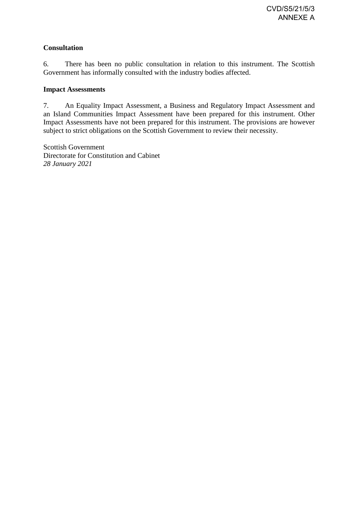# **Consultation**

6. There has been no public consultation in relation to this instrument. The Scottish Government has informally consulted with the industry bodies affected.

#### **Impact Assessments**

7. An Equality Impact Assessment, a Business and Regulatory Impact Assessment and an Island Communities Impact Assessment have been prepared for this instrument. Other Impact Assessments have not been prepared for this instrument. The provisions are however subject to strict obligations on the Scottish Government to review their necessity.

Scottish Government Directorate for Constitution and Cabinet *28 January 2021*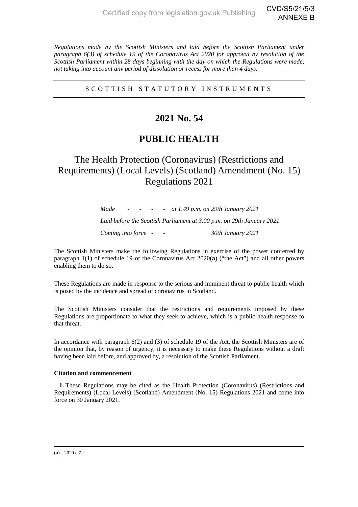*Regulations made by the Scottish Ministers and laid before the Scottish Parliament under paragraph 6(3) of schedule 19 of the Coronavirus Act 2020 for approval by resolution of the Scottish Parliament within 28 days beginning with the day on which the Regulations were made, not taking into account any period of dissolution or recess for more than 4 days.* 

S C O T T I S H S T A T U T O R Y I N S T R U M E N T S

# **2021 No. 54**

# **PUBLIC HEALTH**

# The Health Protection (Coronavirus) (Restrictions and Requirements) (Local Levels) (Scotland) Amendment (No. 15) Regulations 2021

*Made - - - - at 1.49 p.m. on 29th January 2021 Laid before the Scottish Parliament at 3.00 p.m. on 29th January 2021 Coming into force - - 30th January 2021* 

The Scottish Ministers make the following Regulations in exercise of the power conferred by paragraph 1(1) of schedule 19 of the Coronavirus Act 2020(**a**) ("the Act") and all other powers enabling them to do so.

These Regulations are made in response to the serious and imminent threat to public health which is posed by the incidence and spread of coronavirus in Scotland.

The Scottish Ministers consider that the restrictions and requirements imposed by these Regulations are proportionate to what they seek to achieve, which is a public health response to that threat.

In accordance with paragraph 6(2) and (3) of schedule 19 of the Act, the Scottish Ministers are of the opinion that, by reason of urgency, it is necessary to make these Regulations without a draft having been laid before, and approved by, a resolution of the Scottish Parliament.

#### **Citation and commencement**

**1.** These Regulations may be cited as the Health Protection (Coronavirus) (Restrictions and Requirements) (Local Levels) (Scotland) Amendment (No. 15) Regulations 2021 and come into force on 30 January 2021.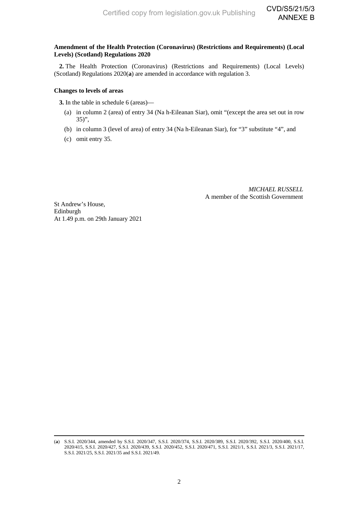CVD/S5/21/5/3 ANNEXE B

#### **Amendment of the Health Protection (Coronavirus) (Restrictions and Requirements) (Local Levels) (Scotland) Regulations 2020**

**2.** The Health Protection (Coronavirus) (Restrictions and Requirements) (Local Levels) (Scotland) Regulations 2020(**a**) are amended in accordance with regulation 3.

#### **Changes to levels of areas**

**3.** In the table in schedule 6 (areas)—

- (a) in column 2 (area) of entry 34 (Na h-Eileanan Siar), omit "(except the area set out in row 35)",
- (b) in column 3 (level of area) of entry 34 (Na h-Eileanan Siar), for "3" substitute "4", and
- (c) omit entry 35.

*MICHAEL RUSSELL* A member of the Scottish Government

St Andrew's House, Edinburgh At 1.49 p.m. on 29th January 2021

<sup>(</sup>**a**) S.S.I. 2020/344, amended by S.S.I. 2020/347, S.S.I. 2020/374, S.S.I. 2020/389, S.S.I. 2020/392, S.S.I. 2020/400, S.S.I. 2020/415, S.S.I. 2020/427, S.S.I. 2020/439, S.S.I. 2020/452, S.S.I. 2020/471, S.S.I. 2021/1, S.S.I. 2021/3, S.S.I. 2021/17, S.S.I. 2021/25, S.S.I. 2021/35 and S.S.I. 2021/49.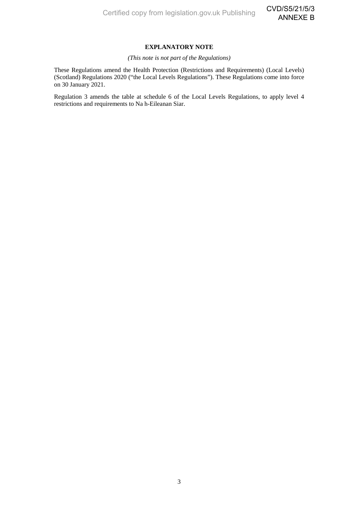#### **EXPLANATORY NOTE**

#### *(This note is not part of the Regulations)*

These Regulations amend the Health Protection (Restrictions and Requirements) (Local Levels) (Scotland) Regulations 2020 ("the Local Levels Regulations"). These Regulations come into force on 30 January 2021.

Regulation 3 amends the table at schedule 6 of the Local Levels Regulations, to apply level 4 restrictions and requirements to Na h-Eileanan Siar.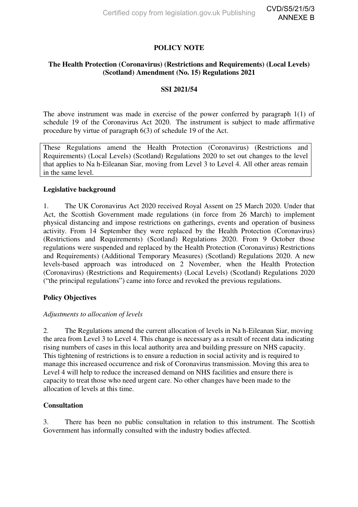# **POLICY NOTE**

## **The Health Protection (Coronavirus) (Restrictions and Requirements) (Local Levels) (Scotland) Amendment (No. 15) Regulations 2021**

## **SSI 2021/54**

The above instrument was made in exercise of the power conferred by paragraph 1(1) of schedule 19 of the Coronavirus Act 2020. The instrument is subject to made affirmative procedure by virtue of paragraph 6(3) of schedule 19 of the Act.

These Regulations amend the Health Protection (Coronavirus) (Restrictions and Requirements) (Local Levels) (Scotland) Regulations 2020 to set out changes to the level that applies to Na h-Eileanan Siar, moving from Level 3 to Level 4. All other areas remain in the same level.

#### **Legislative background**

1. The UK Coronavirus Act 2020 received Royal Assent on 25 March 2020. Under that Act, the Scottish Government made regulations (in force from 26 March) to implement physical distancing and impose restrictions on gatherings, events and operation of business activity. From 14 September they were replaced by the Health Protection (Coronavirus) (Restrictions and Requirements) (Scotland) Regulations 2020. From 9 October those regulations were suspended and replaced by the Health Protection (Coronavirus) Restrictions and Requirements) (Additional Temporary Measures) (Scotland) Regulations 2020. A new levels-based approach was introduced on 2 November, when the Health Protection (Coronavirus) (Restrictions and Requirements) (Local Levels) (Scotland) Regulations 2020 ("the principal regulations") came into force and revoked the previous regulations.

## **Policy Objectives**

#### *Adjustments to allocation of levels*

2. The Regulations amend the current allocation of levels in Na h-Eileanan Siar, moving the area from Level 3 to Level 4. This change is necessary as a result of recent data indicating rising numbers of cases in this local authority area and building pressure on NHS capacity. This tightening of restrictions is to ensure a reduction in social activity and is required to manage this increased occurrence and risk of Coronavirus transmission. Moving this area to Level 4 will help to reduce the increased demand on NHS facilities and ensure there is capacity to treat those who need urgent care. No other changes have been made to the allocation of levels at this time.

#### **Consultation**

3. There has been no public consultation in relation to this instrument. The Scottish Government has informally consulted with the industry bodies affected.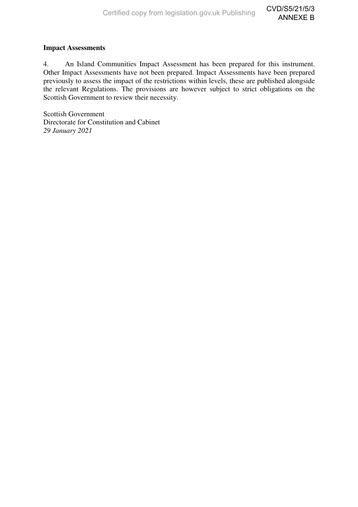#### **Impact Assessments**

 $\overline{4}$ . An Island Communities Impact Assessment has been prepared for this instrument. Other Impact Assessments have not been prepared. Impact Assessments have been prepared previously to assess the impact of the restrictions within levels, these are published alongside the relevant Regulations. The provisions are however subject to strict obligations on the Scottish Government to review their necessity.

**Scottish Government** Directorate for Constitution and Cabinet 29 January 2021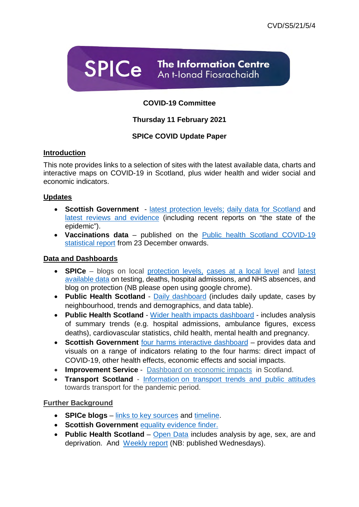**SPICe** The Information Centre An t-Ionad Fiosrachaidh

# **COVID-19 Committee**

# **Thursday 11 February 2021**

# **SPICe COVID Update Paper**

# **Introduction**

This note provides links to a selection of sites with the latest available data, charts and interactive maps on COVID-19 in Scotland, plus wider health and wider social and economic indicators.

## **Updates**

- **Scottish Government** latest protection levels; daily data for Scotland and latest reviews and evidence (including recent reports on "the state of the epidemic").
- **Vaccinations data** published on the Public health Scotland COVID-19 statistical report from 23 December onwards.

# **Data and Dashboards**

- **SPICe** blogs on local protection levels, cases at a local level and latest available data on testing, deaths, hospital admissions, and NHS absences, and blog on protection (NB please open using google chrome).
- **Public Health Scotland** Daily dashboard (includes daily update, cases by neighbourhood, trends and demographics, and data table).
- **Public Health Scotland** Wider health impacts dashboard includes analysis of summary trends (e.g. hospital admissions, ambulance figures, excess deaths), cardiovascular statistics, child health, mental health and pregnancy.
- **Scottish Government** four harms interactive dashboard provides data and visuals on a range of indicators relating to the four harms: direct impact of COVID-19, other health effects, economic effects and social impacts.
- **Improvement Service** Dashboard on economic impacts in Scotland.
- **Transport Scotland** Information on transport trends and public attitudes towards transport for the pandemic period.

# **Further Background**

- **SPICe blogs** links to key sources and timeline.
- **Scottish Government** equality evidence finder.
- **Public Health Scotland** Open Data includes analysis by age, sex, are and deprivation. And Weekly report (NB: published Wednesdays).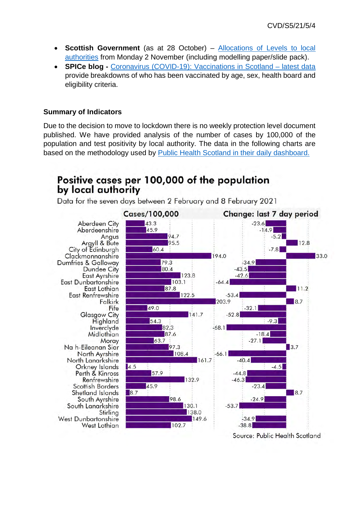- **Scottish Government** (as at 28 October) Allocations of Levels to local authorities from Monday 2 November (including modelling paper/slide pack).
- **SPICe blog** Coronavirus (COVID-19): Vaccinations in Scotland latest data provide breakdowns of who has been vaccinated by age, sex, health board and eligibility criteria.

# **Summary of Indicators**

Due to the decision to move to lockdown there is no weekly protection level document published. We have provided analysis of the number of cases by 100,000 of the population and test positivity by local authority. The data in the following charts are based on the methodology used by Public Health Scotland in their daily dashboard.

# Positive cases per 100,000 of the population by local authority

Data for the seven days between 2 February and 8 February 2021